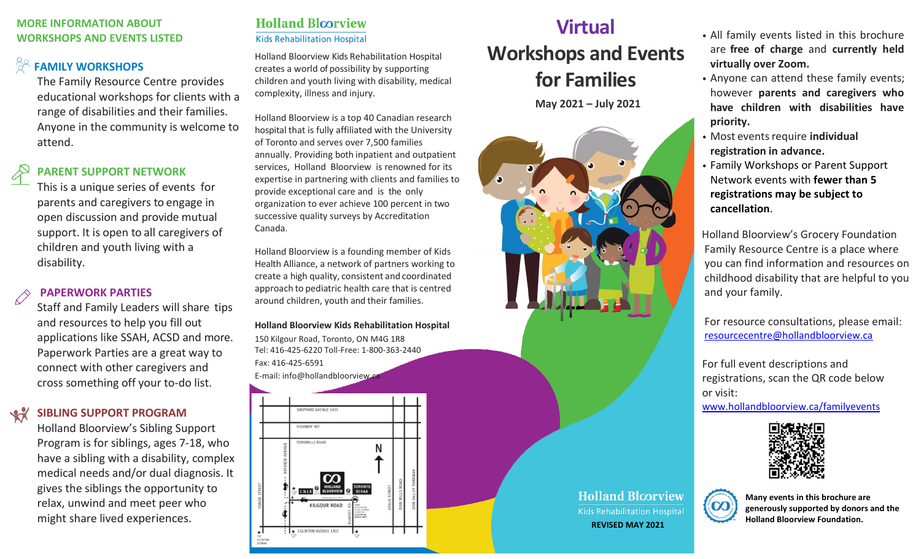### **MORE INFORMATION ABOUT WORKSHOPS AND EVENTS LISTED**

# **FAMILY WORKSHOPS**

The Family Resource Centre provides educational workshops for clients with a range of disabilities and their families. Anyone in the community is welcome to attend.

# **PARENT SUPPORT NETWORK**

 This is a unique series of events for parents and caregivers to engage in open discussion and provide mutual support. It is open to all caregivers of children and youth living with a disability.

# **PAPERWORK PARTIES**

and resources to help you fill out cross something off your to-do list. Staff and Family Leaders will share tips applications like SSAH, ACSD and more. Paperwork Parties are a great way to connect with other caregivers and

### **SIBLING SUPPORT PROGRAM**  $\mathcal{A}$

Holland Bloorview's Sibling Support Program is for siblings, ages 7-18, who have a sibling with a disability, complex medical needs and/or dual diagnosis. It gives the siblings the opportunity to relax, unwind and meet peer who might share lived experiences.

# **Holland Bloorview Kids Rehabilitation Hospital**

Holland Bloorview Kids Rehabilitation Hospital creates a world of possibility by supporting children and youth living with disability, medical complexity, illness and injury.

Holland Bloorview is a top 40 Canadian research hospital that is fully affiliated with the University of Toronto and serves over 7,500 families annually. Providing both inpatient and outpatient services, Holland Bloorview is renowned for its expertise in partnering with clients and families to provide exceptional care and is the only organization to ever achieve 100 percent in two successive quality surveys by Accreditation Canada.

Holland Bloorview is a founding member of Kids Health Alliance, a network of partners working to create a high quality, consistent and coordinated approach to pediatric health care that is centred around children, youth and their families.

**Holland Bloorview Kids Rehabilitation Hospital** 150 Kilgour Road, Toronto, ON M4G 1R8 Tel: 416-425-6220 Toll-Free: 1-800-363-2440 Fax: 416-425-6591 [E-mail: info@hollandbloorview.ca](mailto:info@hollandbloorview.ca)



# **Virtual Workshops and Events for Families**

**May 2021 – July 2021**



- All family events listed in this brochure are **free of charge** and **currently held virtually over Zoom.**
- Anyone can attend these family events; however **parents and caregivers who have children with disabilities have priority.**
- Most events require *individual* **registration in advance.**
- Family Workshops or Parent Support Network events with **fewer than 5 registrations may be subject to cancellation**.

 Holland Bloorview's Grocery Foundation Family Resource Centre is a place where you can find information and resources on childhood disability that are helpful to you and your family.

 For resource consultations, please email: [resourcecentre@hollandbloorview.ca](mailto:resourcecentre@hollandbloorview.ca)

For full event descriptions and registrations, scan the QR code below or visit:

[www.hollandbloorview.ca/familyevents](http://www.hollandbloorview.ca/familyevents)





**Many events in this brochure are generously supported by donors and the Holland Bloorview Foundation. REVISED MAY <sup>2021</sup>**